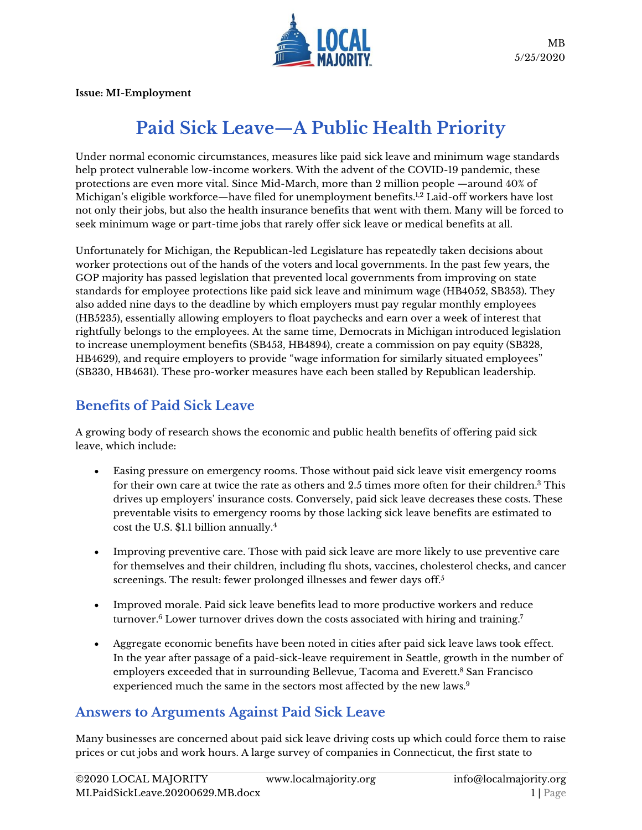

**Issue: MI-Employment**

# **Paid Sick Leave—A Public Health Priority**

Under normal economic circumstances, measures like paid sick leave and minimum wage standards help protect vulnerable low-income workers. With the advent of the COVID-19 pandemic, these protections are even more vital. Since Mid-March, more than 2 million people —around 40% of Michigan's eligible workforce—have filed for unemployment benefits.<sup>1,2</sup> Laid-off workers have lost not only their jobs, but also the health insurance benefits that went with them. Many will be forced to seek minimum wage or part-time jobs that rarely offer sick leave or medical benefits at all.

Unfortunately for Michigan, the Republican-led Legislature has repeatedly taken decisions about worker protections out of the hands of the voters and local governments. In the past few years, the GOP majority has passed legislation that prevented local governments from improving on state standards for employee protections like paid sick leave and minimum wage (HB4052, SB353). They also added nine days to the deadline by which employers must pay regular monthly employees (HB5235), essentially allowing employers to float paychecks and earn over a week of interest that rightfully belongs to the employees. At the same time, Democrats in Michigan introduced legislation to increase unemployment benefits (SB453, HB4894), create a commission on pay equity (SB328, HB4629), and require employers to provide "wage information for similarly situated employees" (SB330, HB4631). These pro-worker measures have each been stalled by Republican leadership.

# **Benefits of Paid Sick Leave**

A growing body of research shows the economic and public health benefits of offering paid sick leave, which include:

- Easing pressure on emergency rooms. Those without paid sick leave visit emergency rooms for their own care at twice the rate as others and 2.5 times more often for their children.<sup>3</sup> This drives up employers' insurance costs. Conversely, paid sick leave decreases these costs. These preventable visits to emergency rooms by those lacking sick leave benefits are estimated to cost the U.S. \$1.1 billion annually.<sup>4</sup>
- Improving preventive care. Those with paid sick leave are more likely to use preventive care for themselves and their children, including flu shots, vaccines, cholesterol checks, and cancer screenings. The result: fewer prolonged illnesses and fewer days off.<sup>5</sup>
- Improved morale. Paid sick leave benefits lead to more productive workers and reduce turnover.<sup>6</sup> Lower turnover drives down the costs associated with hiring and training.<sup>7</sup>
- Aggregate economic benefits have been noted in cities after paid sick leave laws took effect. In the year after passage of a paid-sick-leave requirement in Seattle, growth in the number of employers exceeded that in surrounding Bellevue, Tacoma and Everett.<sup>8</sup> San Francisco experienced much the same in the sectors most affected by the new laws.<sup>9</sup>

# **Answers to Arguments Against Paid Sick Leave**

Many businesses are concerned about paid sick leave driving costs up which could force them to raise prices or cut jobs and work hours. A large survey of companies in Connecticut, the first state to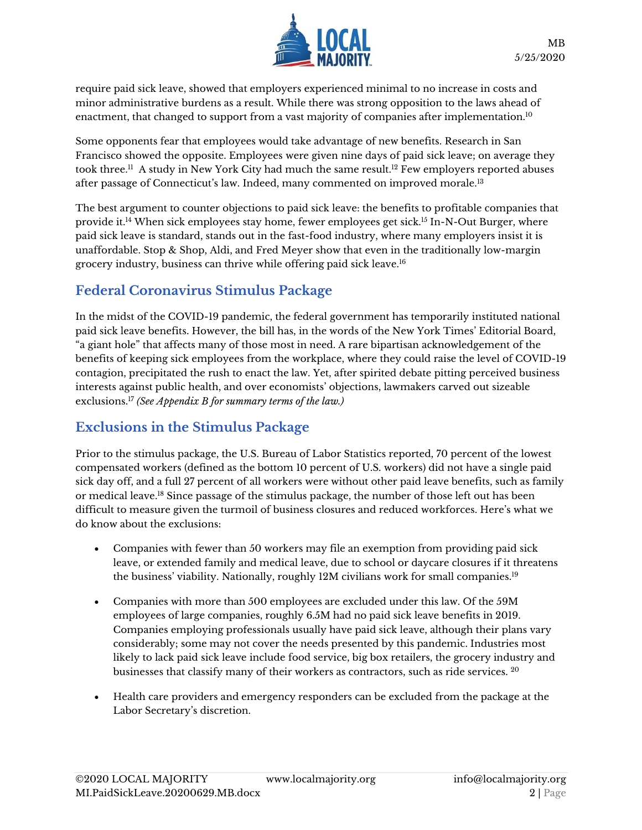

require paid sick leave, showed that employers experienced minimal to no increase in costs and minor administrative burdens as a result. While there was strong opposition to the laws ahead of enactment, that changed to support from a vast majority of companies after implementation.<sup>10</sup>

Some opponents fear that employees would take advantage of new benefits. Research in San Francisco showed the opposite. Employees were given nine days of paid sick leave; on average they took three. $^{\rm ll}$  A study in New York City had much the same result. $^{\rm l2}$  Few employers reported abuses after passage of Connecticut's law. Indeed, many commented on improved morale.<sup>13</sup>

The best argument to counter objections to paid sick leave: the benefits to profitable companies that provide it.<sup>14</sup> When sick employees stay home, fewer employees get sick.<sup>15</sup> In-N-Out Burger, where paid sick leave is standard, stands out in the fast-food industry, where many employers insist it is unaffordable. Stop & Shop, Aldi, and Fred Meyer show that even in the traditionally low-margin grocery industry, business can thrive while offering paid sick leave.<sup>16</sup>

# **Federal Coronavirus Stimulus Package**

In the midst of the COVID-19 pandemic, the federal government has temporarily instituted national paid sick leave benefits. However, the bill has, in the words of the New York Times' Editorial Board, "a giant hole" that affects many of those most in need. A rare bipartisan acknowledgement of the benefits of keeping sick employees from the workplace, where they could raise the level of COVID-19 contagion, precipitated the rush to enact the law. Yet, after spirited debate pitting perceived business interests against public health, and over economists' objections, lawmakers carved out sizeable exclusions.<sup>17</sup> *(See Appendix B for summary terms of the law.)*

# **Exclusions in the Stimulus Package**

Prior to the stimulus package, the U.S. Bureau of Labor Statistics reported, 70 percent of the lowest compensated workers (defined as the bottom 10 percent of U.S. workers) did not have a single paid sick day off, and a full 27 percent of all workers were without other paid leave benefits, such as family or medical leave.<sup>18</sup> Since passage of the stimulus package, the number of those left out has been difficult to measure given the turmoil of business closures and reduced workforces. Here's what we do know about the exclusions:

- Companies with fewer than 50 workers may file an exemption from providing paid sick leave, or extended family and medical leave, due to school or daycare closures if it threatens the business' viability. Nationally, roughly 12M civilians work for small companies.<sup>19</sup>
- Companies with more than 500 employees are excluded under this law. Of the 59M employees of large companies, roughly 6.5M had no paid sick leave benefits in 2019. Companies employing professionals usually have paid sick leave, although their plans vary considerably; some may not cover the needs presented by this pandemic. Industries most likely to lack paid sick leave include food service, big box retailers, the grocery industry and businesses that classify many of their workers as contractors, such as ride services. 20
- Health care providers and emergency responders can be excluded from the package at the Labor Secretary's discretion.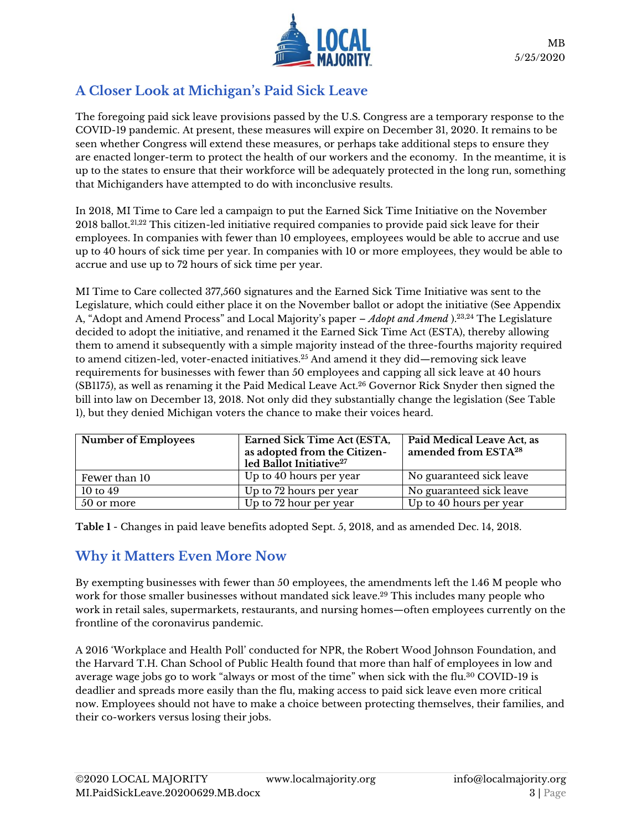

## **A Closer Look at Michigan's Paid Sick Leave**

The foregoing paid sick leave provisions passed by the U.S. Congress are a temporary response to the COVID-19 pandemic. At present, these measures will expire on December 31, 2020. It remains to be seen whether Congress will extend these measures, or perhaps take additional steps to ensure they are enacted longer-term to protect the health of our workers and the economy. In the meantime, it is up to the states to ensure that their workforce will be adequately protected in the long run, something that Michiganders have attempted to do with inconclusive results.

In 2018, MI Time to Care led a campaign to put the Earned Sick Time Initiative on the November 2018 ballot.21,22 This citizen-led initiative required companies to provide paid sick leave for their employees. In companies with fewer than 10 employees, employees would be able to accrue and use up to 40 hours of sick time per year. In companies with 10 or more employees, they would be able to accrue and use up to 72 hours of sick time per year.

MI Time to Care collected 377,560 signatures and the Earned Sick Time Initiative was sent to the Legislature, which could either place it on the November ballot or adopt the initiative (See Appendix A, "Adopt and Amend Process" and Local Majority's paper – *Adopt and [Amend](https://www.localmajority.org/wp-content/uploads/2020/05/MI.AdoptAmend.2020523.HY_.jr_.rf_.pdf)* ). 23,24 The Legislature decided to adopt the initiative, and renamed it the Earned Sick Time Act (ESTA), thereby allowing them to amend it subsequently with a simple majority instead of the three-fourths majority required to amend citizen-led, voter-enacted initiatives.<sup>25</sup> And amend it they did—removing sick leave requirements for businesses with fewer than 50 employees and capping all sick leave at 40 hours (SB1175), as well as renaming it the Paid Medical Leave Act. $^{26}$  Governor Rick Snyder then signed the bill into law on December 13, 2018. Not only did they substantially change the legislation (See Table 1), but they denied Michigan voters the chance to make their voices heard.

| <b>Number of Employees</b> | Earned Sick Time Act (ESTA,<br>as adopted from the Citizen-<br>led Ballot Initiative <sup>27</sup> | <b>Paid Medical Leave Act, as</b><br>amended from ESTA <sup>28</sup> |
|----------------------------|----------------------------------------------------------------------------------------------------|----------------------------------------------------------------------|
| Fewer than 10              | Up to 40 hours per year                                                                            | No guaranteed sick leave                                             |
| 10 to $49$                 | Up to 72 hours per year                                                                            | No guaranteed sick leave                                             |
| 50 or more                 | Up to 72 hour per year                                                                             | Up to 40 hours per year                                              |

**Table 1** - Changes in paid leave benefits adopted Sept. 5, 2018, and as amended Dec. 14, 2018.

#### **Why it Matters Even More Now**

By exempting businesses with fewer than 50 employees, the amendments left the 1.46 M people who work for those smaller businesses without mandated sick leave.<sup>29</sup> This includes many people who work in retail sales, supermarkets, restaurants, and nursing homes—often employees currently on the frontline of the coronavirus pandemic.

A 2016 'Workplace and Health Poll' conducted for NPR, the Robert Wood Johnson Foundation, and the Harvard T.H. Chan School of Public Health found that more than half of employees in low and average wage jobs go to work "always or most of the time" when sick with the flu.<sup>30</sup> COVID-19 is deadlier and spreads more easily than the flu, making access to paid sick leave even more critical now. Employees should not have to make a choice between protecting themselves, their families, and their co-workers versus losing their jobs.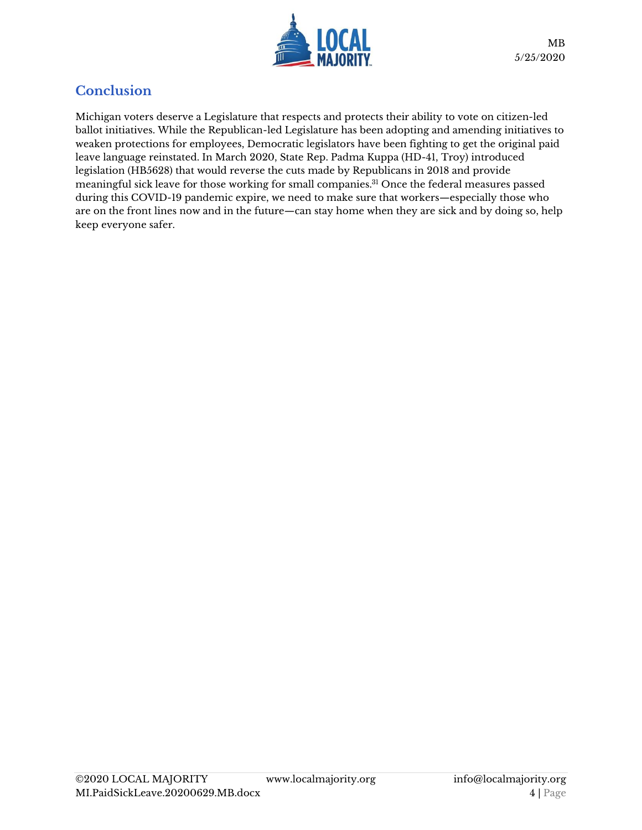

### **Conclusion**

Michigan voters deserve a Legislature that respects and protects their ability to vote on citizen-led ballot initiatives. While the Republican-led Legislature has been adopting and amending initiatives to weaken protections for employees, Democratic legislators have been fighting to get the original paid leave language reinstated. In March 2020, State Rep. Padma Kuppa (HD-41, Troy) introduced legislation (HB5628) that would reverse the cuts made by Republicans in 2018 and provide meaningful sick leave for those working for small companies.<sup>31</sup> Once the federal measures passed during this COVID-19 pandemic expire, we need to make sure that workers—especially those who are on the front lines now and in the future—can stay home when they are sick and by doing so, help keep everyone safer.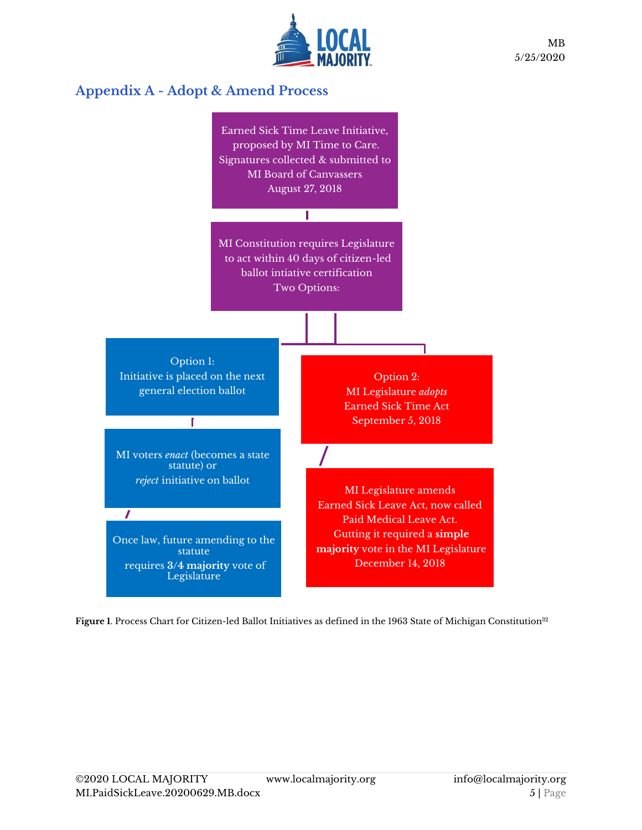

MB 5/25/2020

## **Appendix A - Adopt & Amend Process**



Figure 1. Process Chart for Citizen-led Ballot Initiatives as defined in the 1963 State of Michigan Constitution<sup>32</sup>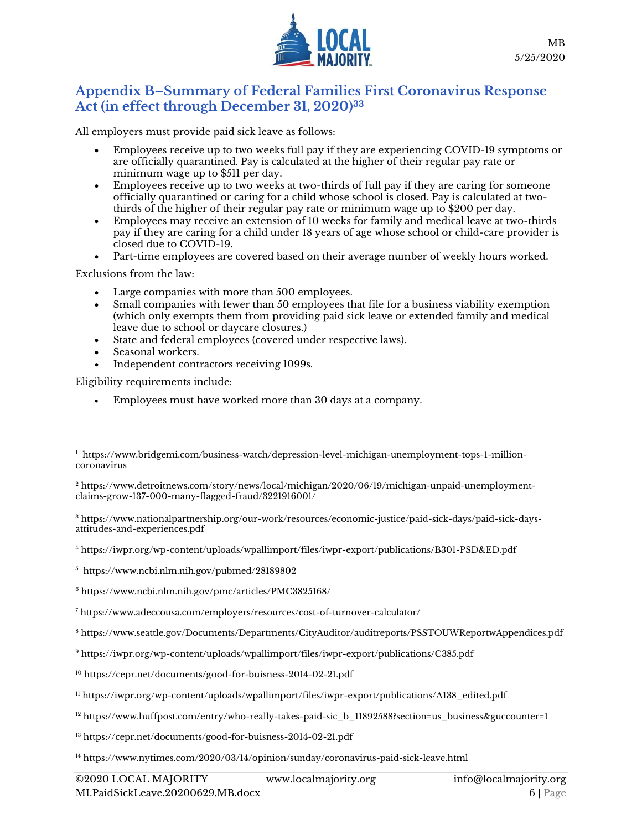

#### **Appendix B–Summary of Federal Families First Coronavirus Response Act (in effect through December 31, 2020)<sup>33</sup>**

All employers must provide paid sick leave as follows:

- Employees receive up to two weeks full pay if they are experiencing COVID-19 symptoms or are officially quarantined. Pay is calculated at the higher of their regular pay rate or minimum wage up to \$511 per day.
- Employees receive up to two weeks at two-thirds of full pay if they are caring for someone officially quarantined or caring for a child whose school is closed. Pay is calculated at twothirds of the higher of their regular pay rate or minimum wage up to \$200 per day.
- Employees may receive an extension of 10 weeks for family and medical leave at two-thirds pay if they are caring for a child under 18 years of age whose school or child-care provider is closed due to COVID-19.
- Part-time employees are covered based on their average number of weekly hours worked.

Exclusions from the law:

- Large companies with more than 500 employees.
- Small companies with fewer than 50 employees that file for a business viability exemption (which only exempts them from providing paid sick leave or extended family and medical leave due to school or daycare closures.)
- State and federal employees (covered under respective laws).
- Seasonal workers.
- Independent contractors receiving 1099s.

Eligibility requirements include:

• Employees must have worked more than 30 days at a company.

<sup>3</sup> [https://www.nationalpartnership.org/our-work/resources/economic-justice/paid-sick-days/paid-sick-days](https://www.nationalpartnership.org/our-work/resources/economic-justice/paid-sick-days/paid-sick-days-attitudes-and-experiences.pdf)[attitudes-and-experiences.pdf](https://www.nationalpartnership.org/our-work/resources/economic-justice/paid-sick-days/paid-sick-days-attitudes-and-experiences.pdf)

<sup>4</sup> <https://iwpr.org/wp-content/uploads/wpallimport/files/iwpr-export/publications/B301-PSD&ED.pdf>

<sup>5</sup> <https://www.ncbi.nlm.nih.gov/pubmed/28189802>

<sup>6</sup> <https://www.ncbi.nlm.nih.gov/pmc/articles/PMC3825168/>

<sup>7</sup> <https://www.adeccousa.com/employers/resources/cost-of-turnover-calculator/>

<sup>8</sup> <https://www.seattle.gov/Documents/Departments/CityAuditor/auditreports/PSSTOUWReportwAppendices.pdf>

<sup>9</sup> <https://iwpr.org/wp-content/uploads/wpallimport/files/iwpr-export/publications/C385.pdf>

<sup>10</sup> <https://cepr.net/documents/good-for-buisness-2014-02-21.pdf>

<sup>11</sup> [https://iwpr.org/wp-content/uploads/wpallimport/files/iwpr-export/publications/A138\\_edited.pdf](https://iwpr.org/wp-content/uploads/wpallimport/files/iwpr-export/publications/A138_edited.pdf)

<sup>12</sup> [https://www.huffpost.com/entry/who-really-takes-paid-sic\\_b\\_11892588?section=us\\_business&guccounter=1](https://www.huffpost.com/entry/who-really-takes-paid-sic_b_11892588?section=us_business&guccounter=1)

<sup>13</sup> <https://cepr.net/documents/good-for-buisness-2014-02-21.pdf>

<sup>14</sup> <https://www.nytimes.com/2020/03/14/opinion/sunday/coronavirus-paid-sick-leave.html>

 $^{\rm 1}$  [https://www.bridgemi.com/business-watch/depression-level-michigan-unemployment-tops-1-million](https://www.bridgemi.com/business-watch/depression-level-michigan-unemployment-tops-1-million-coronavirus)[coronavirus](https://www.bridgemi.com/business-watch/depression-level-michigan-unemployment-tops-1-million-coronavirus)

<sup>2</sup> [https://www.detroitnews.com/story/news/local/michigan/2020/06/19/michigan-unpaid-unemployment](https://www.detroitnews.com/story/news/local/michigan/2020/06/19/michigan-unpaid-unemployment-claims-grow-137-000-many-flagged-fraud/3221916001/)[claims-grow-137-000-many-flagged-fraud/3221916001/](https://www.detroitnews.com/story/news/local/michigan/2020/06/19/michigan-unpaid-unemployment-claims-grow-137-000-many-flagged-fraud/3221916001/)